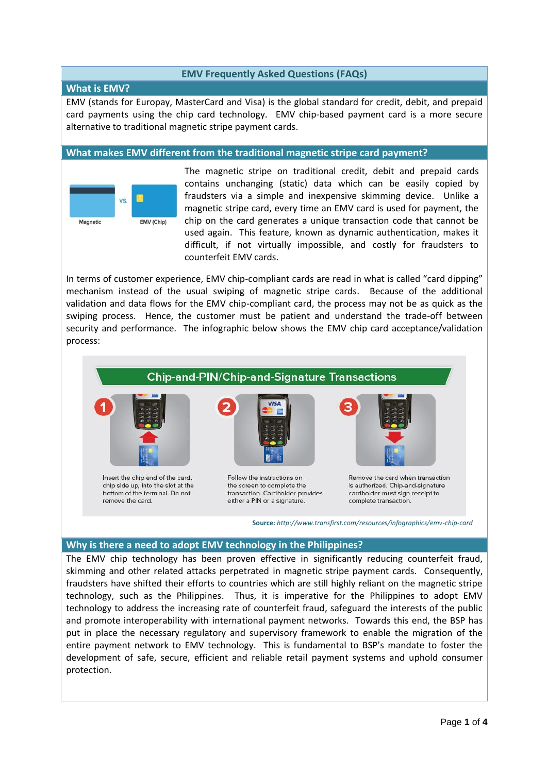# **EMV Frequently Asked Questions (FAQs)**

## **What is EMV?**

EMV (stands for Europay, MasterCard and Visa) is the global standard for credit, debit, and prepaid card payments using the chip card technology. EMV chip-based payment card is a more secure alternative to traditional magnetic stripe payment cards.

## **What makes EMV different from the traditional magnetic stripe card payment?**



The [magnetic stripe](http://www.creditcards.com/glossary/term-magnetic-stripe.php) on traditional credit, debit and prepaid cards contains unchanging (static) data which can be easily copied by fraudsters via a simple and inexpensive skimming device. Unlike a magnetic stripe card, every time an EMV card is used for payment, the chip on the card generates a unique transaction code that cannot be used again. This feature, known as dynamic authentication, makes it difficult, if not virtually impossible, and costly for fraudsters to counterfeit EMV cards.

In terms of customer experience, EMV chip-compliant cards are read in what is called "card dipping" mechanism instead of the usual swiping of magnetic stripe cards. Because of the additional validation and data flows for the EMV chip-compliant card, the process may not be as quick as the swiping process. Hence, the customer must be patient and understand the trade-off between security and performance. The infographic below shows the EMV chip card acceptance/validation process:



**Source:** *http://www.transfirst.com/resources/infographics/emv-chip-card*

# **Why is there a need to adopt EMV technology in the Philippines?**

The EMV chip technology has been proven effective in significantly reducing counterfeit fraud, skimming and other related attacks perpetrated in magnetic stripe payment cards. Consequently, fraudsters have shifted their efforts to countries which are still highly reliant on the magnetic stripe technology, such as the Philippines. Thus, it is imperative for the Philippines to adopt EMV technology to address the increasing rate of counterfeit fraud, safeguard the interests of the public and promote interoperability with international payment networks. Towards this end, the BSP has put in place the necessary regulatory and supervisory framework to enable the migration of the entire payment network to EMV technology. This is fundamental to BSP's mandate to foster the development of safe, secure, efficient and reliable retail payment systems and uphold consumer protection.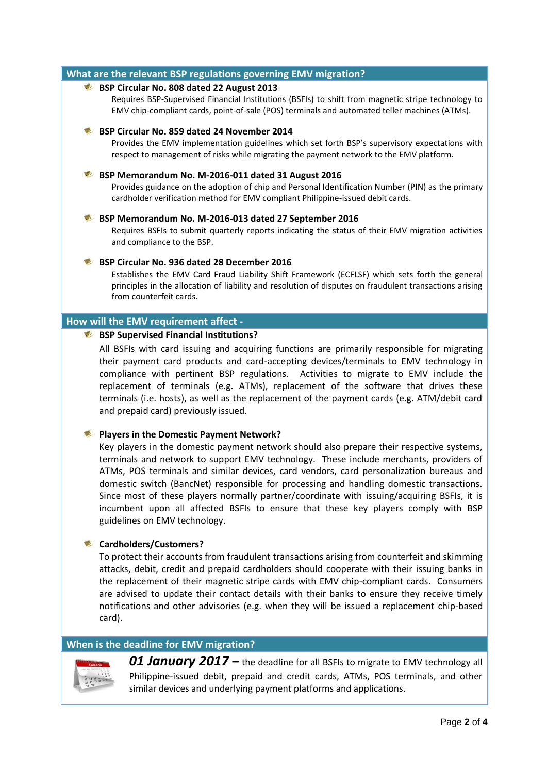## **What are the relevant BSP regulations governing EMV migration?**

#### **BSP Circular No. 808 dated 22 August 2013**

Requires BSP-Supervised Financial Institutions (BSFIs) to shift from magnetic stripe technology to EMV chip-compliant cards, point-of-sale (POS) terminals and automated teller machines (ATMs).

#### **BSP Circular No. 859 dated 24 November 2014**

Provides the EMV implementation guidelines which set forth BSP's supervisory expectations with respect to management of risks while migrating the payment network to the EMV platform.

#### **BSP Memorandum No. M-2016-011 dated 31 August 2016**

Provides guidance on the adoption of chip and Personal Identification Number (PIN) as the primary cardholder verification method for EMV compliant Philippine-issued debit cards.

#### **BSP Memorandum No. M-2016-013 dated 27 September 2016**

Requires BSFIs to submit quarterly reports indicating the status of their EMV migration activities and compliance to the BSP.

## **BSP Circular No. 936 dated 28 December 2016**

Establishes the EMV Card Fraud Liability Shift Framework (ECFLSF) which sets forth the general principles in the allocation of liability and resolution of disputes on fraudulent transactions arising from counterfeit cards.

## **How will the EMV requirement affect -**

## **BSP Supervised Financial Institutions?**

All BSFIs with card issuing and acquiring functions are primarily responsible for migrating their payment card products and card-accepting devices/terminals to EMV technology in compliance with pertinent BSP regulations. Activities to migrate to EMV include the replacement of terminals (e.g. ATMs), replacement of the software that drives these terminals (i.e. hosts), as well as the replacement of the payment cards (e.g. ATM/debit card and prepaid card) previously issued.

## **Players in the Domestic Payment Network?**

Key players in the domestic payment network should also prepare their respective systems, terminals and network to support EMV technology. These include merchants, providers of ATMs, POS terminals and similar devices, card vendors, card personalization bureaus and domestic switch (BancNet) responsible for processing and handling domestic transactions. Since most of these players normally partner/coordinate with issuing/acquiring BSFIs, it is incumbent upon all affected BSFIs to ensure that these key players comply with BSP guidelines on EMV technology.

## **Cardholders/Customers?**

To protect their accounts from fraudulent transactions arising from counterfeit and skimming attacks, debit, credit and prepaid cardholders should cooperate with their issuing banks in the replacement of their magnetic stripe cards with EMV chip-compliant cards. Consumers are advised to update their contact details with their banks to ensure they receive timely notifications and other advisories (e.g. when they will be issued a replacement chip-based card).

## **When is the deadline for EMV migration?**



**01 January 2017** – the deadline for all BSFIs to migrate to EMV technology all Philippine-issued debit, prepaid and credit cards, ATMs, POS terminals, and other similar devices and underlying payment platforms and applications.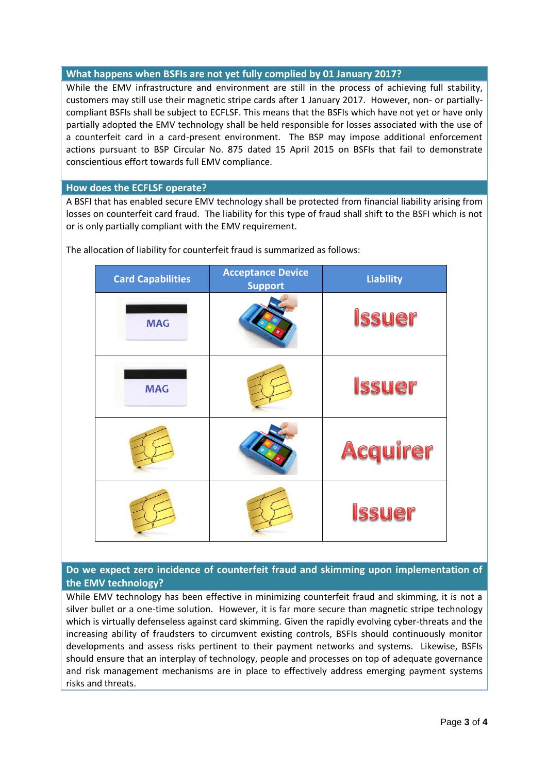# **What happens when BSFIs are not yet fully complied by 01 January 2017?**

While the EMV infrastructure and environment are still in the process of achieving full stability, customers may still use their magnetic stripe cards after 1 January 2017. However, non- or partiallycompliant BSFIs shall be subject to ECFLSF. This means that the BSFIs which have not yet or have only partially adopted the EMV technology shall be held responsible for losses associated with the use of a counterfeit card in a card-present environment. The BSP may impose additional enforcement actions pursuant to BSP Circular No. 875 dated 15 April 2015 on BSFIs that fail to demonstrate conscientious effort towards full EMV compliance.

# **How does the ECFLSF operate?**

A BSFI that has enabled secure EMV technology shall be protected from financial liability arising from losses on counterfeit card fraud. The liability for this type of fraud shall shift to the BSFI which is not or is only partially compliant with the EMV requirement.

| <b>Card Capabilities</b> | <b>Acceptance Device</b><br><b>Support</b> | <b>Liability</b> |
|--------------------------|--------------------------------------------|------------------|
| <b>MAG</b>               |                                            | <b>Issuer</b>    |
| <b>MAG</b>               |                                            | <b>Issuer</b>    |
|                          |                                            | <b>Acquirer</b>  |
|                          |                                            | <b>Issuer</b>    |

The allocation of liability for counterfeit fraud is summarized as follows:

# **Do we expect zero incidence of counterfeit fraud and skimming upon implementation of the EMV technology?**

While EMV technology has been effective in minimizing counterfeit fraud and skimming, it is not a silver bullet or a one-time solution. However, it is far more secure than magnetic stripe technology which is virtually defenseless against card skimming. Given the rapidly evolving cyber-threats and the increasing ability of fraudsters to circumvent existing controls, BSFIs should continuously monitor developments and assess risks pertinent to their payment networks and systems. Likewise, BSFIs should ensure that an interplay of technology, people and processes on top of adequate governance and risk management mechanisms are in place to effectively address emerging payment systems risks and threats.